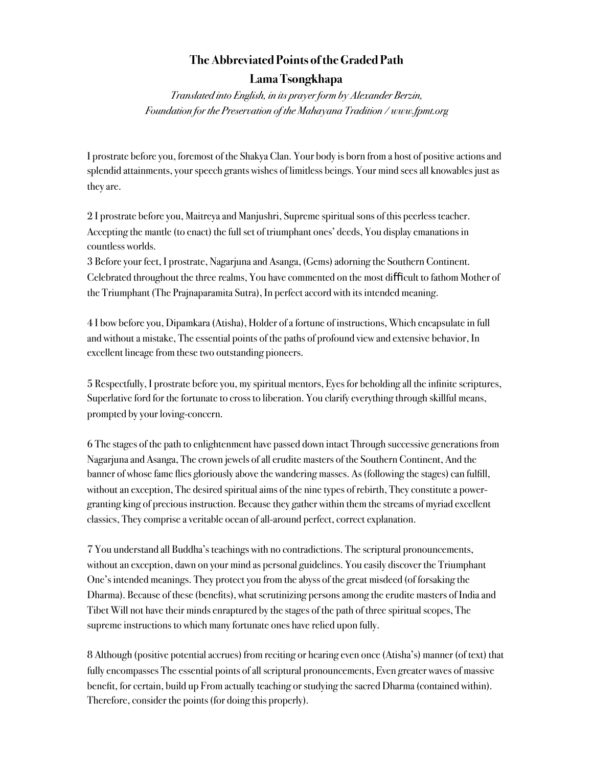## **The Abbreviated Points of the Graded Path**

## **Lama Tsongkhapa**

*Translated into English, in its prayer form by Alexander Berzin, Foundation for the Preservation of the Mahayana Tradition / www.fpmt.org* 

I prostrate before you, foremost of the Shakya Clan. Your body is born from a host of positive actions and splendid attainments, your speech grants wishes of limitless beings. Your mind sees all knowables just as they are.

2 I prostrate before you, Maitreya and Manjushri, Supreme spiritual sons of this peerless teacher. Accepting the mantle (to enact) the full set of triumphant ones' deeds, You display emanations in countless worlds.

3 Before your feet, I prostrate, Nagarjuna and Asanga, (Gems) adorning the Southern Continent. Celebrated throughout the three realms, You have commented on the most difficult to fathom Mother of the Triumphant (The Prajnaparamita Sutra), In perfect accord with its intended meaning.

4 I bow before you, Dipamkara (Atisha), Holder of a fortune of instructions, Which encapsulate in full and without a mistake, The essential points of the paths of profound view and extensive behavior, In excellent lineage from these two outstanding pioneers.

5 Respectfully, I prostrate before you, my spiritual mentors, Eyes for beholding all the infinite scriptures, Superlative ford for the fortunate to cross to liberation. You clarify everything through skillful means, prompted by your loving-concern.

6 The stages of the path to enlightenment have passed down intact Through successive generations from Nagarjuna and Asanga, The crown jewels of all erudite masters of the Southern Continent, And the banner of whose fame flies gloriously above the wandering masses. As (following the stages) can fulfill, without an exception, The desired spiritual aims of the nine types of rebirth, They constitute a powergranting king of precious instruction. Because they gather within them the streams of myriad excellent classics, They comprise a veritable ocean of all-around perfect, correct explanation.

7 You understand all Buddha's teachings with no contradictions. The scriptural pronouncements, without an exception, dawn on your mind as personal guidelines. You easily discover the Triumphant One's intended meanings. They protect you from the abyss of the great misdeed (of forsaking the Dharma). Because of these (benefits), what scrutinizing persons among the erudite masters of India and Tibet Will not have their minds enraptured by the stages of the path of three spiritual scopes, The supreme instructions to which many fortunate ones have relied upon fully.

8 Although (positive potential accrues) from reciting or hearing even once (Atisha's) manner (of text) that fully encompasses The essential points of all scriptural pronouncements, Even greater waves of massive benefit, for certain, build up From actually teaching or studying the sacred Dharma (contained within). Therefore, consider the points (for doing this properly).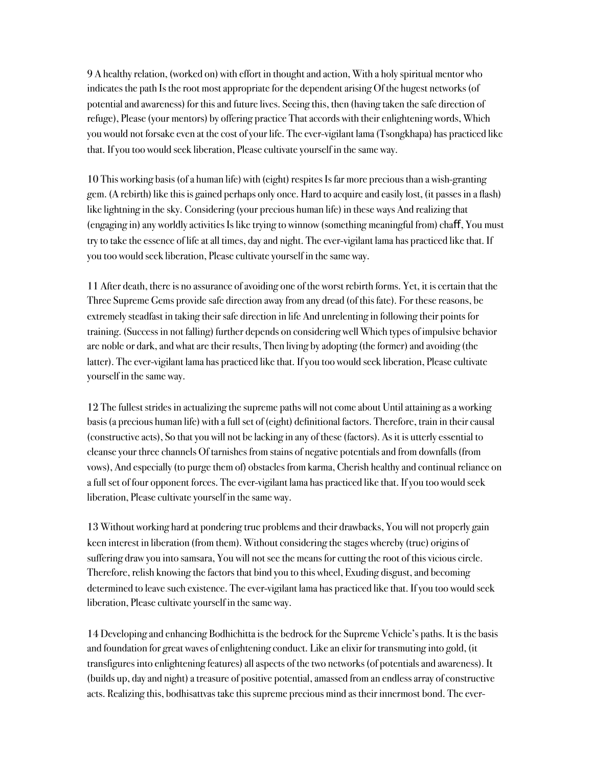9 A healthy relation, (worked on) with effort in thought and action, With a holy spiritual mentor who indicates the path Is the root most appropriate for the dependent arising Of the hugest networks (of potential and awareness) for this and future lives. Seeing this, then (having taken the safe direction of refuge), Please (your mentors) by offering practice That accords with their enlightening words, Which you would not forsake even at the cost of your life. The ever-vigilant lama (Tsongkhapa) has practiced like that. If you too would seek liberation, Please cultivate yourself in the same way.

10 This working basis (of a human life) with (eight) respites Is far more precious than a wish-granting gem. (A rebirth) like this is gained perhaps only once. Hard to acquire and easily lost, (it passes in a flash) like lightning in the sky. Considering (your precious human life) in these ways And realizing that (engaging in) any worldly activities Is like trying to winnow (something meaningful from) chaf, You must try to take the essence of life at all times, day and night. The ever-vigilant lama has practiced like that. If you too would seek liberation, Please cultivate yourself in the same way.

11 After death, there is no assurance of avoiding one of the worst rebirth forms. Yet, it is certain that the Three Supreme Gems provide safe direction away from any dread (of this fate). For these reasons, be extremely steadfast in taking their safe direction in life And unrelenting in following their points for training. (Success in not falling) further depends on considering well Which types of impulsive behavior are noble or dark, and what are their results, Then living by adopting (the former) and avoiding (the latter). The ever-vigilant lama has practiced like that. If you too would seek liberation, Please cultivate yourself in the same way.

12 The fullest strides in actualizing the supreme paths will not come about Until attaining as a working basis (a precious human life) with a full set of (eight) definitional factors. Therefore, train in their causal (constructive acts), So that you will not be lacking in any of these (factors). As it is utterly essential to cleanse your three channels Of tarnishes from stains of negative potentials and from downfalls (from vows), And especially (to purge them of) obstacles from karma, Cherish healthy and continual reliance on a full set of four opponent forces. The ever-vigilant lama has practiced like that. If you too would seek liberation, Please cultivate yourself in the same way.

13 Without working hard at pondering true problems and their drawbacks, You will not properly gain keen interest in liberation (from them). Without considering the stages whereby (true) origins of suffering draw you into samsara, You will not see the means for cutting the root of this vicious circle. Therefore, relish knowing the factors that bind you to this wheel, Exuding disgust, and becoming determined to leave such existence. The ever-vigilant lama has practiced like that. If you too would seek liberation, Please cultivate yourself in the same way.

14 Developing and enhancing Bodhichitta is the bedrock for the Supreme Vehicle's paths. It is the basis and foundation for great waves of enlightening conduct. Like an elixir for transmuting into gold, (it transfigures into enlightening features) all aspects of the two networks (of potentials and awareness). It (builds up, day and night) a treasure of positive potential, amassed from an endless array of constructive acts. Realizing this, bodhisattvas take this supreme precious mind as their innermost bond. The ever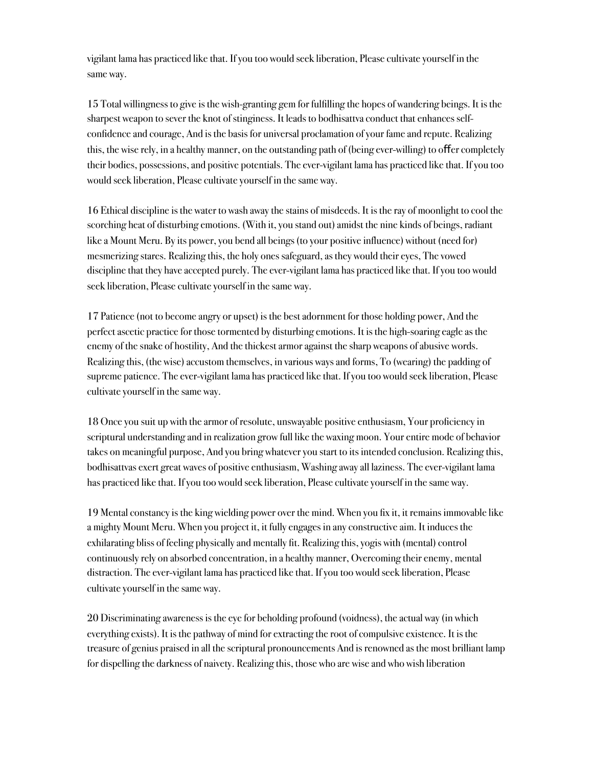vigilant lama has practiced like that. If you too would seek liberation, Please cultivate yourself in the same way.

15 Total willingness to give is the wish-granting gem for fulfilling the hopes of wandering beings. It is the sharpest weapon to sever the knot of stinginess. It leads to bodhisattva conduct that enhances selfconfidence and courage, And is the basis for universal proclamation of your fame and repute. Realizing this, the wise rely, in a healthy manner, on the outstanding path of (being ever-willing) to offer completely their bodies, possessions, and positive potentials. The ever-vigilant lama has practiced like that. If you too would seek liberation, Please cultivate yourself in the same way.

16 Ethical discipline is the water to wash away the stains of misdeeds. It is the ray of moonlight to cool the scorching heat of disturbing emotions. (With it, you stand out) amidst the nine kinds of beings, radiant like a Mount Meru. By its power, you bend all beings (to your positive influence) without (need for) mesmerizing stares. Realizing this, the holy ones safeguard, as they would their eyes, The vowed discipline that they have accepted purely. The ever-vigilant lama has practiced like that. If you too would seek liberation, Please cultivate yourself in the same way.

17 Patience (not to become angry or upset) is the best adornment for those holding power, And the perfect ascetic practice for those tormented by disturbing emotions. It is the high-soaring eagle as the enemy of the snake of hostility, And the thickest armor against the sharp weapons of abusive words. Realizing this, (the wise) accustom themselves, in various ways and forms, To (wearing) the padding of supreme patience. The ever-vigilant lama has practiced like that. If you too would seek liberation, Please cultivate yourself in the same way.

18 Once you suit up with the armor of resolute, unswayable positive enthusiasm, Your proficiency in scriptural understanding and in realization grow full like the waxing moon. Your entire mode of behavior takes on meaningful purpose, And you bring whatever you start to its intended conclusion. Realizing this, bodhisattvas exert great waves of positive enthusiasm, Washing away all laziness. The ever-vigilant lama has practiced like that. If you too would seek liberation, Please cultivate yourself in the same way.

19 Mental constancy is the king wielding power over the mind. When you fix it, it remains immovable like a mighty Mount Meru. When you project it, it fully engages in any constructive aim. It induces the exhilarating bliss of feeling physically and mentally fit. Realizing this, yogis with (mental) control continuously rely on absorbed concentration, in a healthy manner, Overcoming their enemy, mental distraction. The ever-vigilant lama has practiced like that. If you too would seek liberation, Please cultivate yourself in the same way.

20 Discriminating awareness is the eye for beholding profound (voidness), the actual way (in which everything exists). It is the pathway of mind for extracting the root of compulsive existence. It is the treasure of genius praised in all the scriptural pronouncements And is renowned as the most brilliant lamp for dispelling the darkness of naivety. Realizing this, those who are wise and who wish liberation